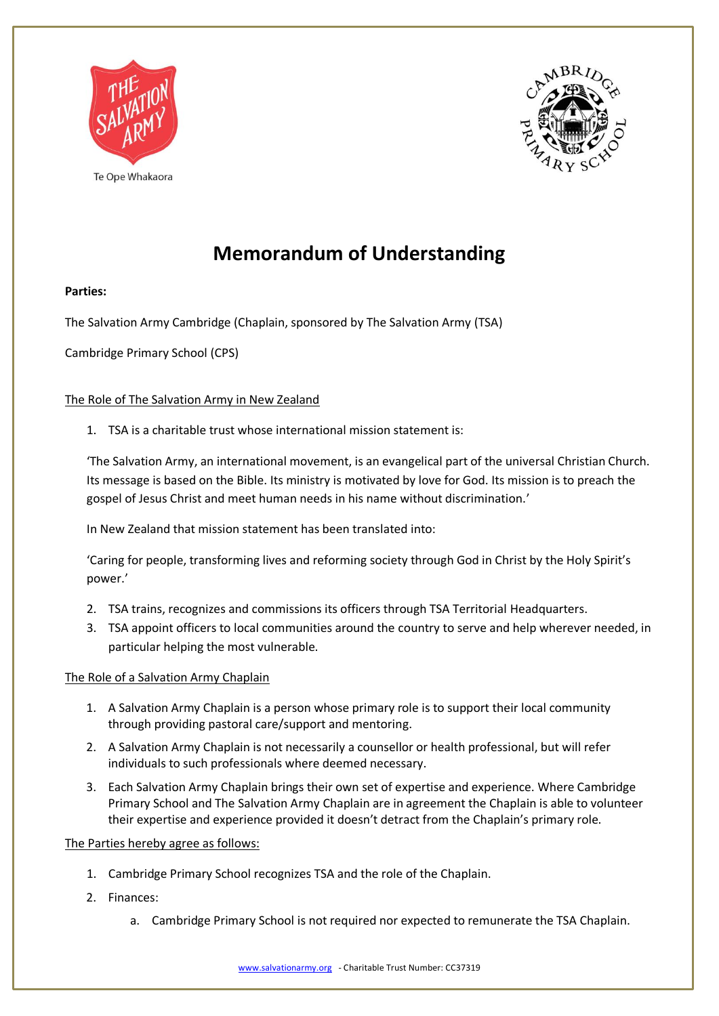



## **Memorandum of Understanding**

## **Parties:**

The Salvation Army Cambridge (Chaplain, sponsored by The Salvation Army (TSA)

Cambridge Primary School (CPS)

## The Role of The Salvation Army in New Zealand

1. TSA is a charitable trust whose international mission statement is:

'The Salvation Army, an international movement, is an evangelical part of the universal Christian Church. Its message is based on the Bible. Its ministry is motivated by love for God. Its mission is to preach the gospel of Jesus Christ and meet human needs in his name without discrimination.'

In New Zealand that mission statement has been translated into:

'Caring for people, transforming lives and reforming society through God in Christ by the Holy Spirit's power.'

- 2. TSA trains, recognizes and commissions its officers through TSA Territorial Headquarters.
- 3. TSA appoint officers to local communities around the country to serve and help wherever needed, in particular helping the most vulnerable.

## The Role of a Salvation Army Chaplain

- 1. A Salvation Army Chaplain is a person whose primary role is to support their local community through providing pastoral care/support and mentoring.
- 2. A Salvation Army Chaplain is not necessarily a counsellor or health professional, but will refer individuals to such professionals where deemed necessary.
- 3. Each Salvation Army Chaplain brings their own set of expertise and experience. Where Cambridge Primary School and The Salvation Army Chaplain are in agreement the Chaplain is able to volunteer their expertise and experience provided it doesn't detract from the Chaplain's primary role.

The Parties hereby agree as follows:

- 1. Cambridge Primary School recognizes TSA and the role of the Chaplain.
- 2. Finances:
	- a. Cambridge Primary School is not required nor expected to remunerate the TSA Chaplain.